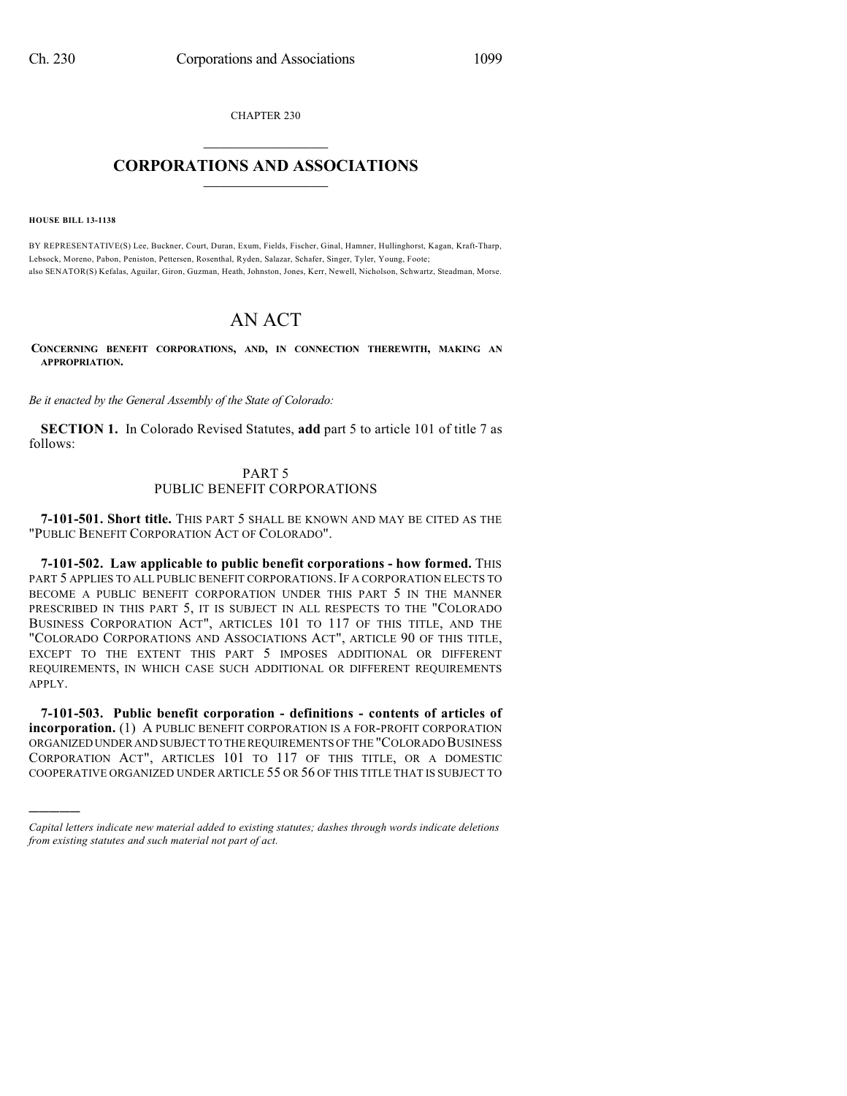CHAPTER 230  $\mathcal{L}_\text{max}$  . The set of the set of the set of the set of the set of the set of the set of the set of the set of the set of the set of the set of the set of the set of the set of the set of the set of the set of the set

## **CORPORATIONS AND ASSOCIATIONS**  $\_$   $\_$   $\_$   $\_$   $\_$   $\_$   $\_$   $\_$   $\_$

**HOUSE BILL 13-1138**

)))))

BY REPRESENTATIVE(S) Lee, Buckner, Court, Duran, Exum, Fields, Fischer, Ginal, Hamner, Hullinghorst, Kagan, Kraft-Tharp, Lebsock, Moreno, Pabon, Peniston, Pettersen, Rosenthal, Ryden, Salazar, Schafer, Singer, Tyler, Young, Foote; also SENATOR(S) Kefalas, Aguilar, Giron, Guzman, Heath, Johnston, Jones, Kerr, Newell, Nicholson, Schwartz, Steadman, Morse.

## AN ACT

**CONCERNING BENEFIT CORPORATIONS, AND, IN CONNECTION THEREWITH, MAKING AN APPROPRIATION.**

*Be it enacted by the General Assembly of the State of Colorado:*

**SECTION 1.** In Colorado Revised Statutes, **add** part 5 to article 101 of title 7 as follows:

## PART 5 PUBLIC BENEFIT CORPORATIONS

**7-101-501. Short title.** THIS PART 5 SHALL BE KNOWN AND MAY BE CITED AS THE "PUBLIC BENEFIT CORPORATION ACT OF COLORADO".

**7-101-502. Law applicable to public benefit corporations - how formed.** THIS PART 5 APPLIES TO ALL PUBLIC BENEFIT CORPORATIONS. IF A CORPORATION ELECTS TO BECOME A PUBLIC BENEFIT CORPORATION UNDER THIS PART 5 IN THE MANNER PRESCRIBED IN THIS PART 5, IT IS SUBJECT IN ALL RESPECTS TO THE "COLORADO BUSINESS CORPORATION ACT", ARTICLES 101 TO 117 OF THIS TITLE, AND THE "COLORADO CORPORATIONS AND ASSOCIATIONS ACT", ARTICLE 90 OF THIS TITLE, EXCEPT TO THE EXTENT THIS PART 5 IMPOSES ADDITIONAL OR DIFFERENT REQUIREMENTS, IN WHICH CASE SUCH ADDITIONAL OR DIFFERENT REQUIREMENTS APPLY.

**7-101-503. Public benefit corporation - definitions - contents of articles of incorporation.** (1) A PUBLIC BENEFIT CORPORATION IS A FOR-PROFIT CORPORATION ORGANIZED UNDER AND SUBJECT TO THE REQUIREMENTS OF THE "COLORADO BUSINESS CORPORATION ACT", ARTICLES 101 TO 117 OF THIS TITLE, OR A DOMESTIC COOPERATIVE ORGANIZED UNDER ARTICLE 55 OR 56 OF THIS TITLE THAT IS SUBJECT TO

*Capital letters indicate new material added to existing statutes; dashes through words indicate deletions from existing statutes and such material not part of act.*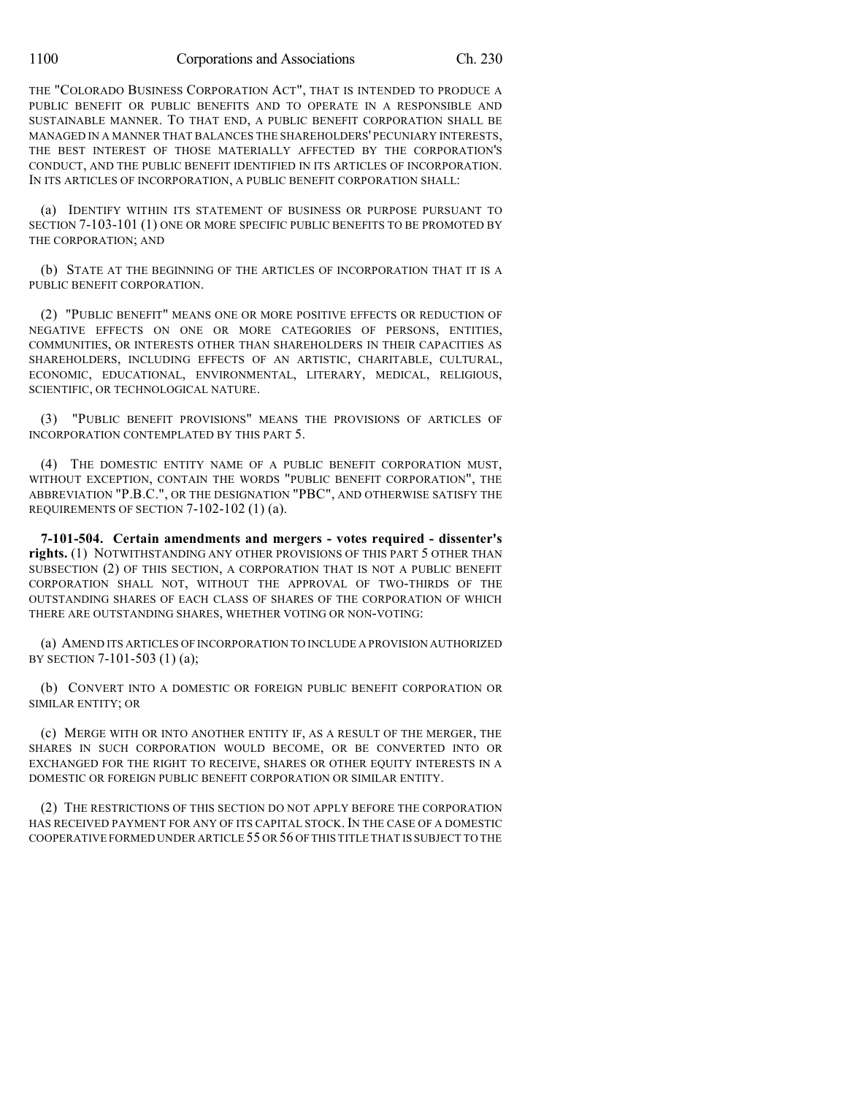THE "COLORADO BUSINESS CORPORATION ACT", THAT IS INTENDED TO PRODUCE A PUBLIC BENEFIT OR PUBLIC BENEFITS AND TO OPERATE IN A RESPONSIBLE AND SUSTAINABLE MANNER. TO THAT END, A PUBLIC BENEFIT CORPORATION SHALL BE MANAGED IN A MANNER THAT BALANCES THE SHAREHOLDERS' PECUNIARY INTERESTS, THE BEST INTEREST OF THOSE MATERIALLY AFFECTED BY THE CORPORATION'S CONDUCT, AND THE PUBLIC BENEFIT IDENTIFIED IN ITS ARTICLES OF INCORPORATION. IN ITS ARTICLES OF INCORPORATION, A PUBLIC BENEFIT CORPORATION SHALL:

(a) IDENTIFY WITHIN ITS STATEMENT OF BUSINESS OR PURPOSE PURSUANT TO SECTION 7-103-101 (1) ONE OR MORE SPECIFIC PUBLIC BENEFITS TO BE PROMOTED BY THE CORPORATION; AND

(b) STATE AT THE BEGINNING OF THE ARTICLES OF INCORPORATION THAT IT IS A PUBLIC BENEFIT CORPORATION.

(2) "PUBLIC BENEFIT" MEANS ONE OR MORE POSITIVE EFFECTS OR REDUCTION OF NEGATIVE EFFECTS ON ONE OR MORE CATEGORIES OF PERSONS, ENTITIES, COMMUNITIES, OR INTERESTS OTHER THAN SHAREHOLDERS IN THEIR CAPACITIES AS SHAREHOLDERS, INCLUDING EFFECTS OF AN ARTISTIC, CHARITABLE, CULTURAL, ECONOMIC, EDUCATIONAL, ENVIRONMENTAL, LITERARY, MEDICAL, RELIGIOUS, SCIENTIFIC, OR TECHNOLOGICAL NATURE.

(3) "PUBLIC BENEFIT PROVISIONS" MEANS THE PROVISIONS OF ARTICLES OF INCORPORATION CONTEMPLATED BY THIS PART 5.

(4) THE DOMESTIC ENTITY NAME OF A PUBLIC BENEFIT CORPORATION MUST, WITHOUT EXCEPTION, CONTAIN THE WORDS "PUBLIC BENEFIT CORPORATION", THE ABBREVIATION "P.B.C.", OR THE DESIGNATION "PBC", AND OTHERWISE SATISFY THE REQUIREMENTS OF SECTION 7-102-102 (1) (a).

**7-101-504. Certain amendments and mergers - votes required - dissenter's rights.** (1) NOTWITHSTANDING ANY OTHER PROVISIONS OF THIS PART 5 OTHER THAN SUBSECTION (2) OF THIS SECTION, A CORPORATION THAT IS NOT A PUBLIC BENEFIT CORPORATION SHALL NOT, WITHOUT THE APPROVAL OF TWO-THIRDS OF THE OUTSTANDING SHARES OF EACH CLASS OF SHARES OF THE CORPORATION OF WHICH THERE ARE OUTSTANDING SHARES, WHETHER VOTING OR NON-VOTING:

(a) AMEND ITS ARTICLES OF INCORPORATION TO INCLUDE A PROVISION AUTHORIZED BY SECTION 7-101-503 (1) (a);

(b) CONVERT INTO A DOMESTIC OR FOREIGN PUBLIC BENEFIT CORPORATION OR SIMILAR ENTITY; OR

(c) MERGE WITH OR INTO ANOTHER ENTITY IF, AS A RESULT OF THE MERGER, THE SHARES IN SUCH CORPORATION WOULD BECOME, OR BE CONVERTED INTO OR EXCHANGED FOR THE RIGHT TO RECEIVE, SHARES OR OTHER EQUITY INTERESTS IN A DOMESTIC OR FOREIGN PUBLIC BENEFIT CORPORATION OR SIMILAR ENTITY.

(2) THE RESTRICTIONS OF THIS SECTION DO NOT APPLY BEFORE THE CORPORATION HAS RECEIVED PAYMENT FOR ANY OF ITS CAPITAL STOCK. IN THE CASE OF A DOMESTIC COOPERATIVE FORMED UNDER ARTICLE 55 OR 56 OF THIS TITLE THAT IS SUBJECT TO THE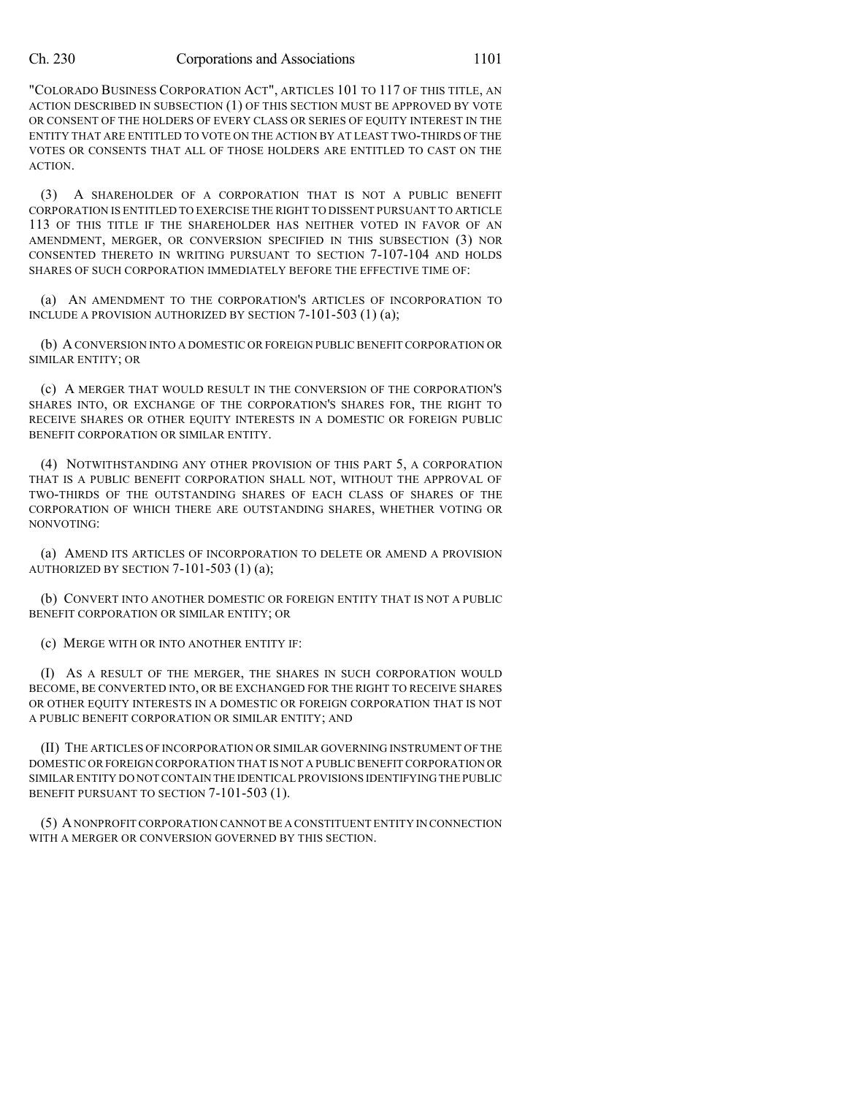"COLORADO BUSINESS CORPORATION ACT", ARTICLES 101 TO 117 OF THIS TITLE, AN ACTION DESCRIBED IN SUBSECTION (1) OF THIS SECTION MUST BE APPROVED BY VOTE OR CONSENT OF THE HOLDERS OF EVERY CLASS OR SERIES OF EQUITY INTEREST IN THE ENTITY THAT ARE ENTITLED TO VOTE ON THE ACTION BY AT LEAST TWO-THIRDS OF THE VOTES OR CONSENTS THAT ALL OF THOSE HOLDERS ARE ENTITLED TO CAST ON THE ACTION.

(3) A SHAREHOLDER OF A CORPORATION THAT IS NOT A PUBLIC BENEFIT CORPORATION IS ENTITLED TO EXERCISE THE RIGHT TO DISSENT PURSUANT TO ARTICLE 113 OF THIS TITLE IF THE SHAREHOLDER HAS NEITHER VOTED IN FAVOR OF AN AMENDMENT, MERGER, OR CONVERSION SPECIFIED IN THIS SUBSECTION (3) NOR CONSENTED THERETO IN WRITING PURSUANT TO SECTION 7-107-104 AND HOLDS SHARES OF SUCH CORPORATION IMMEDIATELY BEFORE THE EFFECTIVE TIME OF:

(a) AN AMENDMENT TO THE CORPORATION'S ARTICLES OF INCORPORATION TO INCLUDE A PROVISION AUTHORIZED BY SECTION 7-101-503 (1) (a);

(b) A CONVERSION INTO A DOMESTIC OR FOREIGN PUBLIC BENEFIT CORPORATION OR SIMILAR ENTITY; OR

(c) A MERGER THAT WOULD RESULT IN THE CONVERSION OF THE CORPORATION'S SHARES INTO, OR EXCHANGE OF THE CORPORATION'S SHARES FOR, THE RIGHT TO RECEIVE SHARES OR OTHER EQUITY INTERESTS IN A DOMESTIC OR FOREIGN PUBLIC BENEFIT CORPORATION OR SIMILAR ENTITY.

(4) NOTWITHSTANDING ANY OTHER PROVISION OF THIS PART 5, A CORPORATION THAT IS A PUBLIC BENEFIT CORPORATION SHALL NOT, WITHOUT THE APPROVAL OF TWO-THIRDS OF THE OUTSTANDING SHARES OF EACH CLASS OF SHARES OF THE CORPORATION OF WHICH THERE ARE OUTSTANDING SHARES, WHETHER VOTING OR NONVOTING:

(a) AMEND ITS ARTICLES OF INCORPORATION TO DELETE OR AMEND A PROVISION AUTHORIZED BY SECTION 7-101-503 (1) (a);

(b) CONVERT INTO ANOTHER DOMESTIC OR FOREIGN ENTITY THAT IS NOT A PUBLIC BENEFIT CORPORATION OR SIMILAR ENTITY; OR

(c) MERGE WITH OR INTO ANOTHER ENTITY IF:

(I) AS A RESULT OF THE MERGER, THE SHARES IN SUCH CORPORATION WOULD BECOME, BE CONVERTED INTO, OR BE EXCHANGED FOR THE RIGHT TO RECEIVE SHARES OR OTHER EQUITY INTERESTS IN A DOMESTIC OR FOREIGN CORPORATION THAT IS NOT A PUBLIC BENEFIT CORPORATION OR SIMILAR ENTITY; AND

(II) THE ARTICLES OF INCORPORATION OR SIMILAR GOVERNING INSTRUMENT OF THE DOMESTIC OR FOREIGN CORPORATION THAT IS NOT A PUBLIC BENEFIT CORPORATION OR SIMILAR ENTITY DO NOT CONTAIN THE IDENTICAL PROVISIONS IDENTIFYING THE PUBLIC BENEFIT PURSUANT TO SECTION 7-101-503 (1).

(5) ANONPROFIT CORPORATION CANNOT BE A CONSTITUENT ENTITY IN CONNECTION WITH A MERGER OR CONVERSION GOVERNED BY THIS SECTION.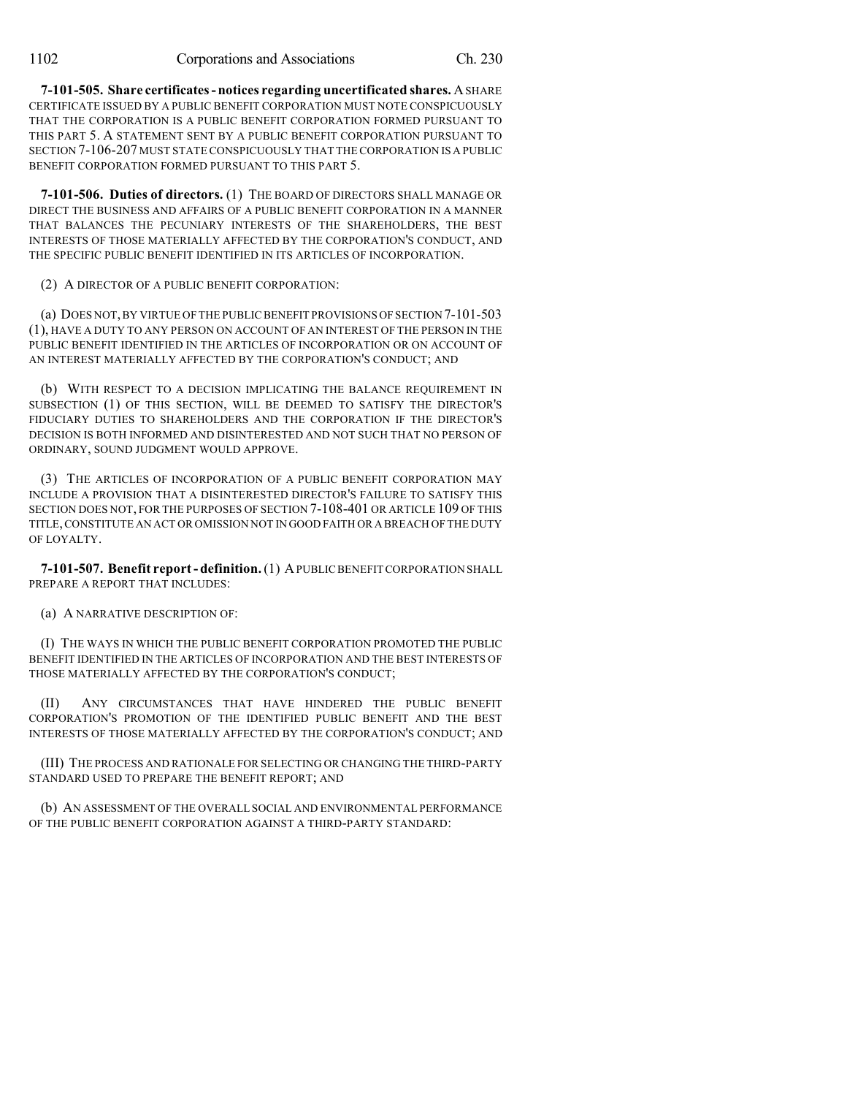**7-101-505. Share certificates - notices regarding uncertificated shares.** ASHARE CERTIFICATE ISSUED BY A PUBLIC BENEFIT CORPORATION MUST NOTE CONSPICUOUSLY THAT THE CORPORATION IS A PUBLIC BENEFIT CORPORATION FORMED PURSUANT TO THIS PART 5. A STATEMENT SENT BY A PUBLIC BENEFIT CORPORATION PURSUANT TO SECTION 7-106-207 MUST STATE CONSPICUOUSLY THAT THE CORPORATION IS A PUBLIC BENEFIT CORPORATION FORMED PURSUANT TO THIS PART 5.

**7-101-506. Duties of directors.** (1) THE BOARD OF DIRECTORS SHALL MANAGE OR DIRECT THE BUSINESS AND AFFAIRS OF A PUBLIC BENEFIT CORPORATION IN A MANNER THAT BALANCES THE PECUNIARY INTERESTS OF THE SHAREHOLDERS, THE BEST INTERESTS OF THOSE MATERIALLY AFFECTED BY THE CORPORATION'S CONDUCT, AND THE SPECIFIC PUBLIC BENEFIT IDENTIFIED IN ITS ARTICLES OF INCORPORATION.

(2) A DIRECTOR OF A PUBLIC BENEFIT CORPORATION:

(a) DOES NOT,BY VIRTUE OF THE PUBLIC BENEFIT PROVISIONS OF SECTION 7-101-503 (1), HAVE A DUTY TO ANY PERSON ON ACCOUNT OF AN INTEREST OF THE PERSON IN THE PUBLIC BENEFIT IDENTIFIED IN THE ARTICLES OF INCORPORATION OR ON ACCOUNT OF AN INTEREST MATERIALLY AFFECTED BY THE CORPORATION'S CONDUCT; AND

(b) WITH RESPECT TO A DECISION IMPLICATING THE BALANCE REQUIREMENT IN SUBSECTION (1) OF THIS SECTION, WILL BE DEEMED TO SATISFY THE DIRECTOR'S FIDUCIARY DUTIES TO SHAREHOLDERS AND THE CORPORATION IF THE DIRECTOR'S DECISION IS BOTH INFORMED AND DISINTERESTED AND NOT SUCH THAT NO PERSON OF ORDINARY, SOUND JUDGMENT WOULD APPROVE.

(3) THE ARTICLES OF INCORPORATION OF A PUBLIC BENEFIT CORPORATION MAY INCLUDE A PROVISION THAT A DISINTERESTED DIRECTOR'S FAILURE TO SATISFY THIS SECTION DOES NOT, FOR THE PURPOSES OF SECTION 7-108-401 OR ARTICLE 109 OF THIS TITLE,CONSTITUTE AN ACT OR OMISSION NOT IN GOOD FAITH OR A BREACH OF THE DUTY OF LOYALTY.

**7-101-507. Benefit report - definition.**(1) APUBLIC BENEFITCORPORATION SHALL PREPARE A REPORT THAT INCLUDES:

(a) A NARRATIVE DESCRIPTION OF:

(I) THE WAYS IN WHICH THE PUBLIC BENEFIT CORPORATION PROMOTED THE PUBLIC BENEFIT IDENTIFIED IN THE ARTICLES OF INCORPORATION AND THE BEST INTERESTS OF THOSE MATERIALLY AFFECTED BY THE CORPORATION'S CONDUCT;

(II) ANY CIRCUMSTANCES THAT HAVE HINDERED THE PUBLIC BENEFIT CORPORATION'S PROMOTION OF THE IDENTIFIED PUBLIC BENEFIT AND THE BEST INTERESTS OF THOSE MATERIALLY AFFECTED BY THE CORPORATION'S CONDUCT; AND

(III) THE PROCESS AND RATIONALE FOR SELECTING OR CHANGING THE THIRD-PARTY STANDARD USED TO PREPARE THE BENEFIT REPORT; AND

(b) AN ASSESSMENT OF THE OVERALL SOCIAL AND ENVIRONMENTAL PERFORMANCE OF THE PUBLIC BENEFIT CORPORATION AGAINST A THIRD-PARTY STANDARD: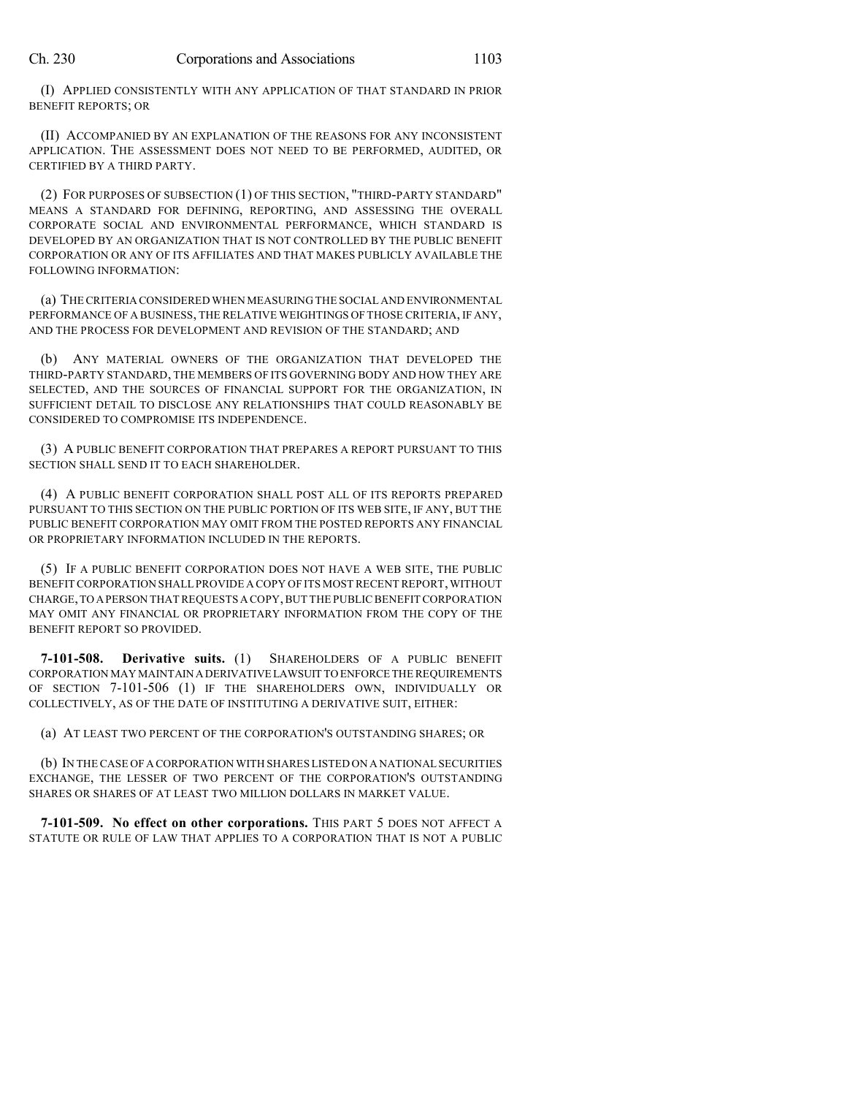(I) APPLIED CONSISTENTLY WITH ANY APPLICATION OF THAT STANDARD IN PRIOR BENEFIT REPORTS; OR

(II) ACCOMPANIED BY AN EXPLANATION OF THE REASONS FOR ANY INCONSISTENT APPLICATION. THE ASSESSMENT DOES NOT NEED TO BE PERFORMED, AUDITED, OR CERTIFIED BY A THIRD PARTY.

(2) FOR PURPOSES OF SUBSECTION (1) OF THIS SECTION, "THIRD-PARTY STANDARD" MEANS A STANDARD FOR DEFINING, REPORTING, AND ASSESSING THE OVERALL CORPORATE SOCIAL AND ENVIRONMENTAL PERFORMANCE, WHICH STANDARD IS DEVELOPED BY AN ORGANIZATION THAT IS NOT CONTROLLED BY THE PUBLIC BENEFIT CORPORATION OR ANY OF ITS AFFILIATES AND THAT MAKES PUBLICLY AVAILABLE THE FOLLOWING INFORMATION:

(a) THECRITERIA CONSIDERED WHEN MEASURING THE SOCIAL AND ENVIRONMENTAL PERFORMANCE OF A BUSINESS, THE RELATIVE WEIGHTINGS OF THOSE CRITERIA, IF ANY, AND THE PROCESS FOR DEVELOPMENT AND REVISION OF THE STANDARD; AND

(b) ANY MATERIAL OWNERS OF THE ORGANIZATION THAT DEVELOPED THE THIRD-PARTY STANDARD, THE MEMBERS OF ITS GOVERNING BODY AND HOW THEY ARE SELECTED, AND THE SOURCES OF FINANCIAL SUPPORT FOR THE ORGANIZATION, IN SUFFICIENT DETAIL TO DISCLOSE ANY RELATIONSHIPS THAT COULD REASONABLY BE CONSIDERED TO COMPROMISE ITS INDEPENDENCE.

(3) A PUBLIC BENEFIT CORPORATION THAT PREPARES A REPORT PURSUANT TO THIS SECTION SHALL SEND IT TO EACH SHAREHOLDER.

(4) A PUBLIC BENEFIT CORPORATION SHALL POST ALL OF ITS REPORTS PREPARED PURSUANT TO THIS SECTION ON THE PUBLIC PORTION OF ITS WEB SITE, IF ANY, BUT THE PUBLIC BENEFIT CORPORATION MAY OMIT FROM THE POSTED REPORTS ANY FINANCIAL OR PROPRIETARY INFORMATION INCLUDED IN THE REPORTS.

(5) IF A PUBLIC BENEFIT CORPORATION DOES NOT HAVE A WEB SITE, THE PUBLIC BENEFIT CORPORATION SHALL PROVIDE A COPY OF ITS MOST RECENT REPORT, WITHOUT CHARGE,TO APERSON THATREQUESTS A COPY,BUT THE PUBLIC BENEFITCORPORATION MAY OMIT ANY FINANCIAL OR PROPRIETARY INFORMATION FROM THE COPY OF THE BENEFIT REPORT SO PROVIDED.

**7-101-508. Derivative suits.** (1) SHAREHOLDERS OF A PUBLIC BENEFIT CORPORATION MAY MAINTAIN ADERIVATIVE LAWSUIT TO ENFORCE THEREQUIREMENTS OF SECTION 7-101-506 (1) IF THE SHAREHOLDERS OWN, INDIVIDUALLY OR COLLECTIVELY, AS OF THE DATE OF INSTITUTING A DERIVATIVE SUIT, EITHER:

(a) AT LEAST TWO PERCENT OF THE CORPORATION'S OUTSTANDING SHARES; OR

(b) IN THECASE OF A CORPORATION WITH SHARES LISTED ON A NATIONAL SECURITIES EXCHANGE, THE LESSER OF TWO PERCENT OF THE CORPORATION'S OUTSTANDING SHARES OR SHARES OF AT LEAST TWO MILLION DOLLARS IN MARKET VALUE.

**7-101-509. No effect on other corporations.** THIS PART 5 DOES NOT AFFECT A STATUTE OR RULE OF LAW THAT APPLIES TO A CORPORATION THAT IS NOT A PUBLIC